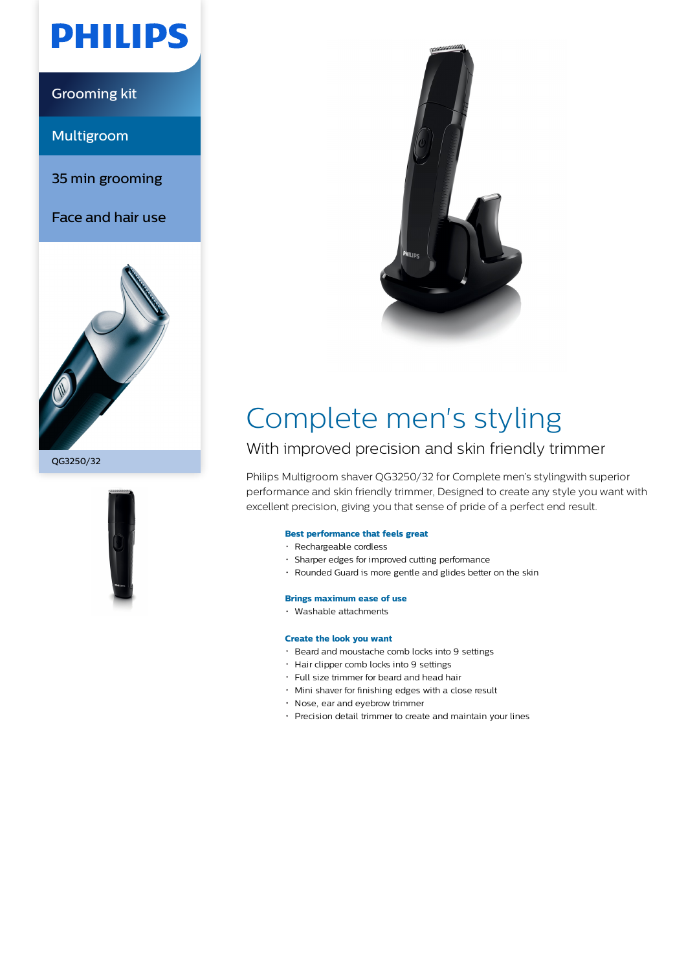# **PHILIPS**

Grooming kit

Multigroom

35 min grooming

Face and hair use









## Complete men's styling

### With improved precision and skin friendly trimmer

Philips Multigroom shaver QG3250/32 for Complete men's stylingwith superior performance and skin friendly trimmer, Designed to create any style you want with excellent precision, giving you that sense of pride of a perfect end result.

#### **Best performance that feels great**

- Rechargeable cordless
- Sharper edges for improved cutting performance
- Rounded Guard is more gentle and glides better on the skin

#### **Brings maximum ease of use**

Washable attachments

#### **Create the look you want**

- Beard and moustache comb locks into 9 settings
- Hair clipper comb locks into 9 settings
- Full size trimmer for beard and head hair
- Mini shaver for finishing edges with a close result
- Nose, ear and eyebrow trimmer
- Precision detail trimmer to create and maintain your lines